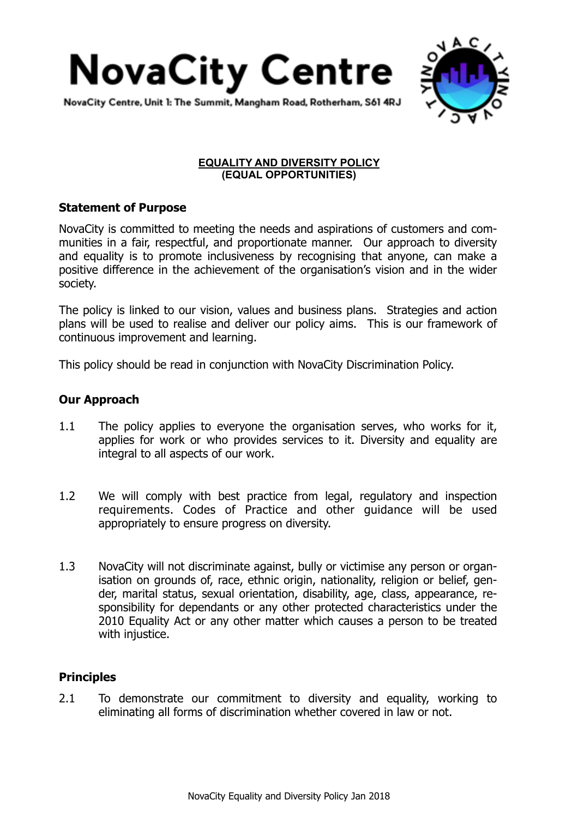



NovaCity Centre, Unit 1: The Summit, Mangham Road, Rotherham, S61 4RJ

### **EQUALITY AND DIVERSITY POLICY (EQUAL OPPORTUNITIES)**

# **Statement of Purpose**

NovaCity is committed to meeting the needs and aspirations of customers and communities in a fair, respectful, and proportionate manner. Our approach to diversity and equality is to promote inclusiveness by recognising that anyone, can make a positive difference in the achievement of the organisation's vision and in the wider society.

The policy is linked to our vision, values and business plans. Strategies and action plans will be used to realise and deliver our policy aims. This is our framework of continuous improvement and learning.

This policy should be read in conjunction with NovaCity Discrimination Policy.

# **Our Approach**

- 1.1 The policy applies to everyone the organisation serves, who works for it, applies for work or who provides services to it. Diversity and equality are integral to all aspects of our work.
- 1.2 We will comply with best practice from legal, regulatory and inspection requirements. Codes of Practice and other guidance will be used appropriately to ensure progress on diversity.
- 1.3 NovaCity will not discriminate against, bully or victimise any person or organisation on grounds of, race, ethnic origin, nationality, religion or belief, gender, marital status, sexual orientation, disability, age, class, appearance, responsibility for dependants or any other protected characteristics under the 2010 Equality Act or any other matter which causes a person to be treated with injustice.

## **Principles**

2.1 To demonstrate our commitment to diversity and equality, working to eliminating all forms of discrimination whether covered in law or not.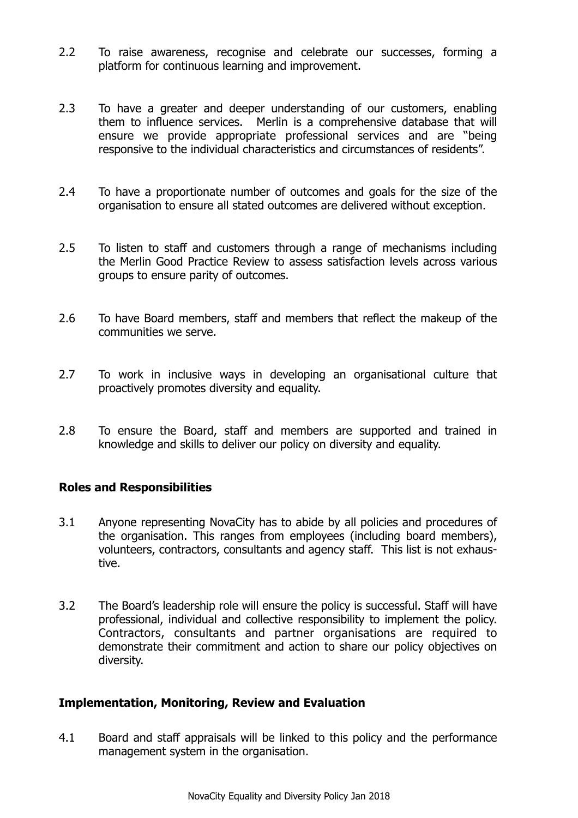- 2.2 To raise awareness, recognise and celebrate our successes, forming a platform for continuous learning and improvement.
- 2.3 To have a greater and deeper understanding of our customers, enabling them to influence services. Merlin is a comprehensive database that will ensure we provide appropriate professional services and are "being responsive to the individual characteristics and circumstances of residents".
- 2.4 To have a proportionate number of outcomes and goals for the size of the organisation to ensure all stated outcomes are delivered without exception.
- 2.5 To listen to staff and customers through a range of mechanisms including the Merlin Good Practice Review to assess satisfaction levels across various groups to ensure parity of outcomes.
- 2.6 To have Board members, staff and members that reflect the makeup of the communities we serve.
- 2.7 To work in inclusive ways in developing an organisational culture that proactively promotes diversity and equality.
- 2.8 To ensure the Board, staff and members are supported and trained in knowledge and skills to deliver our policy on diversity and equality.

### **Roles and Responsibilities**

- 3.1 Anyone representing NovaCity has to abide by all policies and procedures of the organisation. This ranges from employees (including board members), volunteers, contractors, consultants and agency staff. This list is not exhaustive.
- 3.2 The Board's leadership role will ensure the policy is successful. Staff will have professional, individual and collective responsibility to implement the policy. Contractors, consultants and partner organisations are required to demonstrate their commitment and action to share our policy objectives on diversity.

### **Implementation, Monitoring, Review and Evaluation**

4.1 Board and staff appraisals will be linked to this policy and the performance management system in the organisation.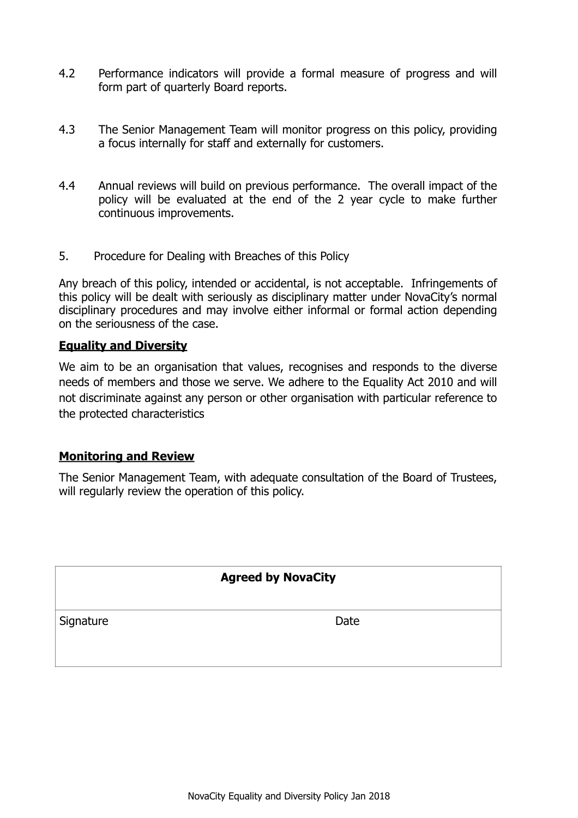- 4.2 Performance indicators will provide a formal measure of progress and will form part of quarterly Board reports.
- 4.3 The Senior Management Team will monitor progress on this policy, providing a focus internally for staff and externally for customers.
- 4.4 Annual reviews will build on previous performance. The overall impact of the policy will be evaluated at the end of the 2 year cycle to make further continuous improvements.
- 5. Procedure for Dealing with Breaches of this Policy

Any breach of this policy, intended or accidental, is not acceptable. Infringements of this policy will be dealt with seriously as disciplinary matter under NovaCity's normal disciplinary procedures and may involve either informal or formal action depending on the seriousness of the case.

### **Equality and Diversity**

We aim to be an organisation that values, recognises and responds to the diverse needs of members and those we serve. We adhere to the Equality Act 2010 and will not discriminate against any person or other organisation with particular reference to the protected characteristics

### **Monitoring and Review**

The Senior Management Team, with adequate consultation of the Board of Trustees, will regularly review the operation of this policy.

### **Agreed by NovaCity**

Signature Date Date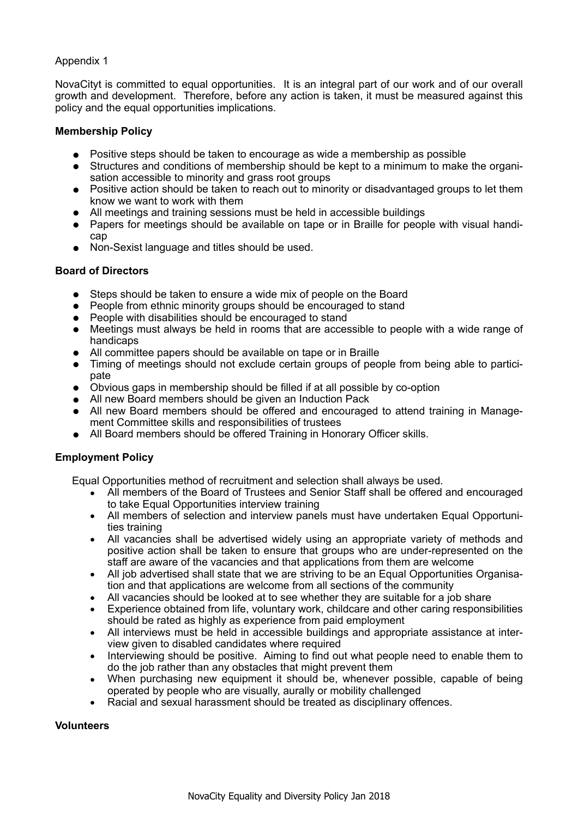#### Appendix 1

NovaCityt is committed to equal opportunities. It is an integral part of our work and of our overall growth and development. Therefore, before any action is taken, it must be measured against this policy and the equal opportunities implications.

#### **Membership Policy**

- **•** Positive steps should be taken to encourage as wide a membership as possible
- **•** Structures and conditions of membership should be kept to a minimum to make the organisation accessible to minority and grass root groups
- **•** Positive action should be taken to reach out to minority or disadvantaged groups to let them know we want to work with them
- **•** All meetings and training sessions must be held in accessible buildings
- **•** Papers for meetings should be available on tape or in Braille for people with visual handicap
- **•** Non-Sexist language and titles should be used.

#### **Board of Directors**

- **•** Steps should be taken to ensure a wide mix of people on the Board
- **•** People from ethnic minority groups should be encouraged to stand
- **•** People with disabilities should be encouraged to stand
- **•** Meetings must always be held in rooms that are accessible to people with a wide range of handicaps
- **•** All committee papers should be available on tape or in Braille
- **•** Timing of meetings should not exclude certain groups of people from being able to participate
- **•** Obvious gaps in membership should be filled if at all possible by co-option
- **•** All new Board members should be given an Induction Pack
- **•** All new Board members should be offered and encouraged to attend training in Management Committee skills and responsibilities of trustees
- **•** All Board members should be offered Training in Honorary Officer skills.

### **Employment Policy**

Equal Opportunities method of recruitment and selection shall always be used.

- All members of the Board of Trustees and Senior Staff shall be offered and encouraged to take Equal Opportunities interview training
- All members of selection and interview panels must have undertaken Equal Opportunities training
- All vacancies shall be advertised widely using an appropriate variety of methods and positive action shall be taken to ensure that groups who are under-represented on the staff are aware of the vacancies and that applications from them are welcome
- All job advertised shall state that we are striving to be an Equal Opportunities Organisation and that applications are welcome from all sections of the community
- All vacancies should be looked at to see whether they are suitable for a job share
- Experience obtained from life, voluntary work, childcare and other caring responsibilities should be rated as highly as experience from paid employment
- All interviews must be held in accessible buildings and appropriate assistance at interview given to disabled candidates where required
- Interviewing should be positive. Aiming to find out what people need to enable them to do the job rather than any obstacles that might prevent them
- When purchasing new equipment it should be, whenever possible, capable of being operated by people who are visually, aurally or mobility challenged
- Racial and sexual harassment should be treated as disciplinary offences.

#### **Volunteers**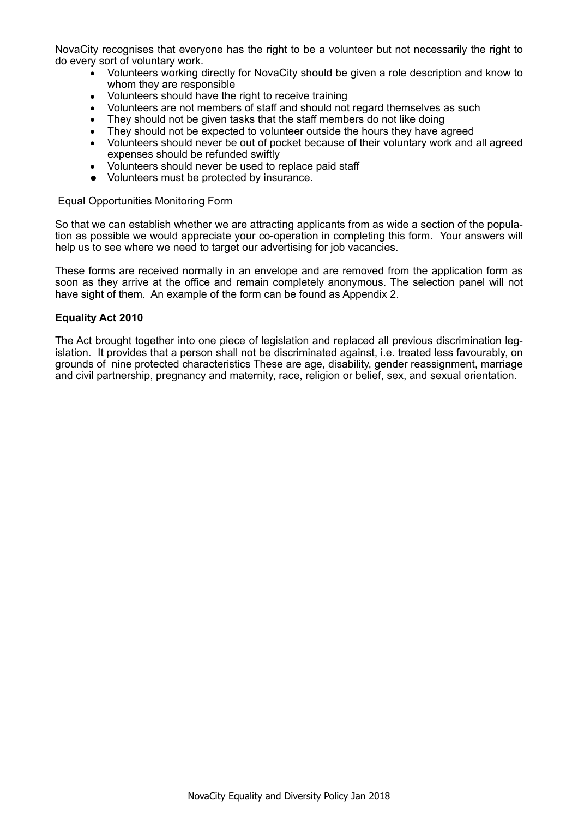NovaCity recognises that everyone has the right to be a volunteer but not necessarily the right to do every sort of voluntary work.

- Volunteers working directly for NovaCity should be given a role description and know to whom they are responsible
- Volunteers should have the right to receive training
- Volunteers are not members of staff and should not regard themselves as such
- They should not be given tasks that the staff members do not like doing
- They should not be expected to volunteer outside the hours they have agreed
- Volunteers should never be out of pocket because of their voluntary work and all agreed expenses should be refunded swiftly
- Volunteers should never be used to replace paid staff
- **•** Volunteers must be protected by insurance.

Equal Opportunities Monitoring Form

So that we can establish whether we are attracting applicants from as wide a section of the population as possible we would appreciate your co-operation in completing this form. Your answers will help us to see where we need to target our advertising for job vacancies.

These forms are received normally in an envelope and are removed from the application form as soon as they arrive at the office and remain completely anonymous. The selection panel will not have sight of them. An example of the form can be found as Appendix 2.

#### **Equality Act 2010**

The Act brought together into one piece of legislation and replaced all previous discrimination legislation. It provides that a person shall not be discriminated against, i.e. treated less favourably, on grounds of nine protected characteristics These are age, disability, gender reassignment, marriage and civil partnership, pregnancy and maternity, race, religion or belief, sex, and sexual orientation.